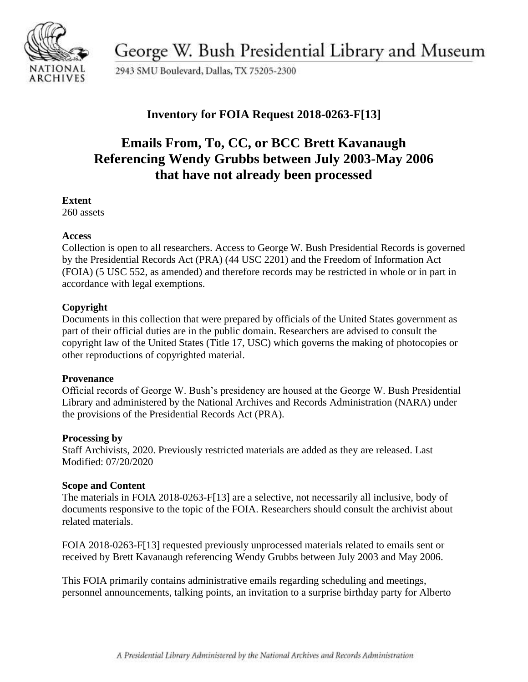

George W. Bush Presidential Library and Museum

2943 SMU Boulevard, Dallas, TX 75205-2300

### **Inventory for FOIA Request 2018-0263-F[13]**

## **Emails From, To, CC, or BCC Brett Kavanaugh Referencing Wendy Grubbs between July 2003-May 2006 that have not already been processed**

#### **Extent**

260 assets

#### **Access**

Collection is open to all researchers. Access to George W. Bush Presidential Records is governed by the Presidential Records Act (PRA) (44 USC 2201) and the Freedom of Information Act (FOIA) (5 USC 552, as amended) and therefore records may be restricted in whole or in part in accordance with legal exemptions.

#### **Copyright**

Documents in this collection that were prepared by officials of the United States government as part of their official duties are in the public domain. Researchers are advised to consult the copyright law of the United States (Title 17, USC) which governs the making of photocopies or other reproductions of copyrighted material.

#### **Provenance**

 Official records of George W. Bush's presidency are housed at the George W. Bush Presidential Library and administered by the National Archives and Records Administration (NARA) under the provisions of the Presidential Records Act (PRA).

#### **Processing by**

Staff Archivists, 2020. Previously restricted materials are added as they are released. Last Modified: 07/20/2020

#### **Scope and Content**

The materials in FOIA 2018-0263-F[13] are a selective, not necessarily all inclusive, body of documents responsive to the topic of the FOIA. Researchers should consult the archivist about related materials.

FOIA 2018-0263-F[13] requested previously unprocessed materials related to emails sent or received by Brett Kavanaugh referencing Wendy Grubbs between July 2003 and May 2006.

This FOIA primarily contains administrative emails regarding scheduling and meetings, personnel announcements, talking points, an invitation to a surprise birthday party for Alberto